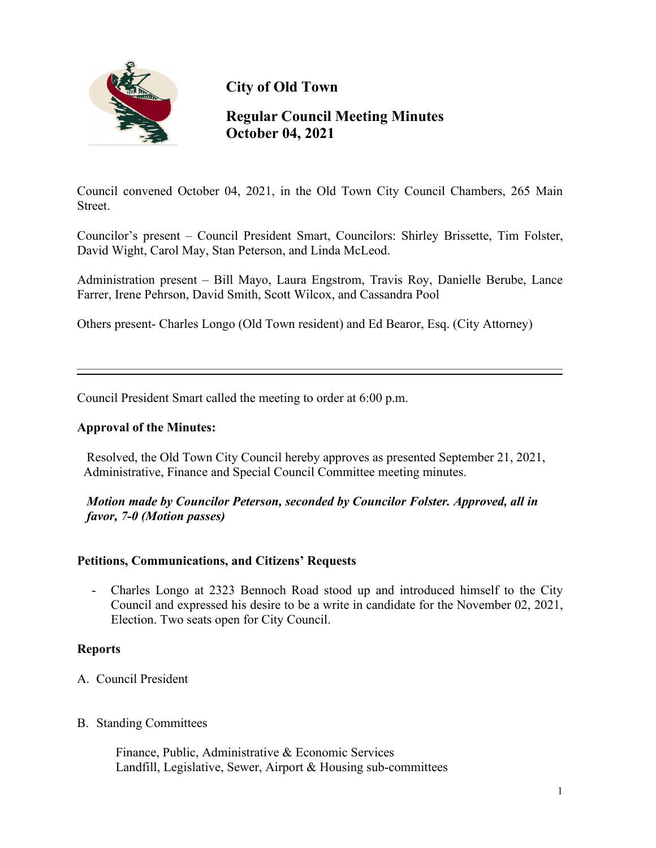

**City of Old Town**

# **Regular Council Meeting Minutes October 04, 2021**

Council convened October 04, 2021, in the Old Town City Council Chambers, 265 Main Street.

Councilor's present – Council President Smart, Councilors: Shirley Brissette, Tim Folster, David Wight, Carol May, Stan Peterson, and Linda McLeod.

Administration present – Bill Mayo, Laura Engstrom, Travis Roy, Danielle Berube, Lance Farrer, Irene Pehrson, David Smith, Scott Wilcox, and Cassandra Pool

Others present- Charles Longo (Old Town resident) and Ed Bearor, Esq. (City Attorney)

Council President Smart called the meeting to order at 6:00 p.m.

## **Approval of the Minutes:**

Resolved, the Old Town City Council hereby approves as presented September 21, 2021, Administrative, Finance and Special Council Committee meeting minutes.

*Motion made by Councilor Peterson, seconded by Councilor Folster. Approved, all in favor, 7-0 (Motion passes)*

## **Petitions, Communications, and Citizens' Requests**

- Charles Longo at 2323 Bennoch Road stood up and introduced himself to the City Council and expressed his desire to be a write in candidate for the November 02, 2021, Election. Two seats open for City Council.

## **Reports**

- A. Council President
- B. Standing Committees

 Finance, Public, Administrative & Economic Services Landfill, Legislative, Sewer, Airport & Housing sub-committees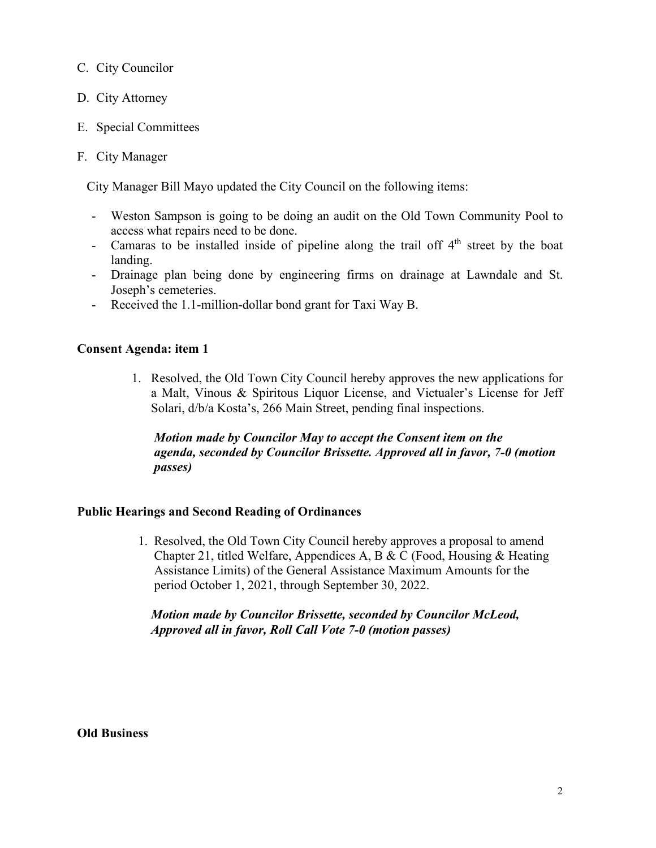## C. City Councilor

- D. City Attorney
- E. Special Committees
- F. City Manager

City Manager Bill Mayo updated the City Council on the following items:

- Weston Sampson is going to be doing an audit on the Old Town Community Pool to access what repairs need to be done.
- Camaras to be installed inside of pipeline along the trail off  $4<sup>th</sup>$  street by the boat landing.
- Drainage plan being done by engineering firms on drainage at Lawndale and St. Joseph's cemeteries.
- Received the 1.1-million-dollar bond grant for Taxi Way B.

## **Consent Agenda: item 1**

1. Resolved, the Old Town City Council hereby approves the new applications for a Malt, Vinous & Spiritous Liquor License, and Victualer's License for Jeff Solari, d/b/a Kosta's, 266 Main Street, pending final inspections.

*Motion made by Councilor May to accept the Consent item on the agenda, seconded by Councilor Brissette. Approved all in favor, 7-0 (motion passes)*

## **Public Hearings and Second Reading of Ordinances**

1. Resolved, the Old Town City Council hereby approves a proposal to amend Chapter 21, titled Welfare, Appendices A, B & C (Food, Housing & Heating Assistance Limits) of the General Assistance Maximum Amounts for the period October 1, 2021, through September 30, 2022.

## *Motion made by Councilor Brissette, seconded by Councilor McLeod, Approved all in favor, Roll Call Vote 7-0 (motion passes)*

**Old Business**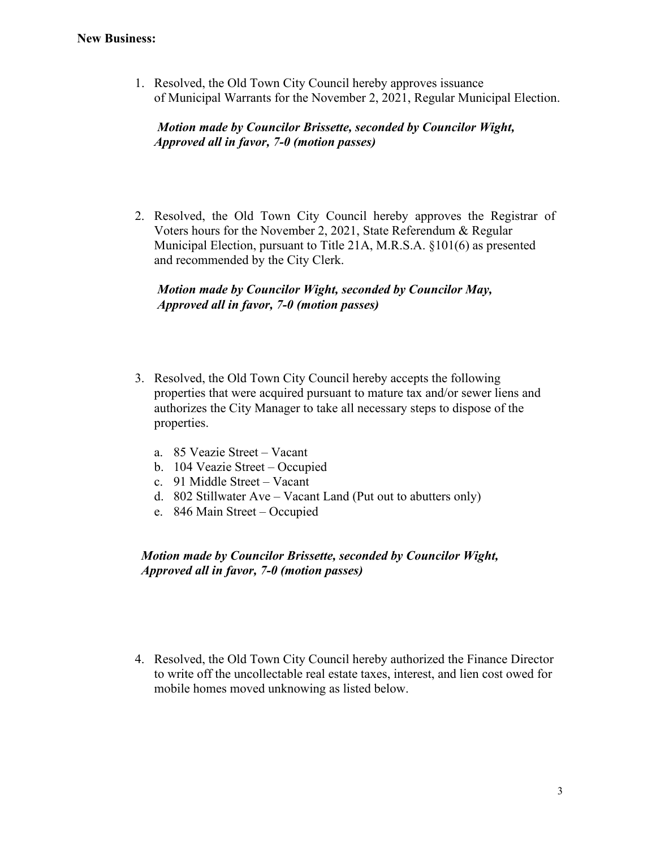1. Resolved, the Old Town City Council hereby approves issuance of Municipal Warrants for the November 2, 2021, Regular Municipal Election.

## *Motion made by Councilor Brissette, seconded by Councilor Wight, Approved all in favor, 7-0 (motion passes)*

2. Resolved, the Old Town City Council hereby approves the Registrar of Voters hours for the November 2, 2021, State Referendum & Regular Municipal Election, pursuant to Title 21A, M.R.S.A. §101(6) as presented and recommended by the City Clerk.

## *Motion made by Councilor Wight, seconded by Councilor May, Approved all in favor, 7-0 (motion passes)*

- 3. Resolved, the Old Town City Council hereby accepts the following properties that were acquired pursuant to mature tax and/or sewer liens and authorizes the City Manager to take all necessary steps to dispose of the properties.
	- a. 85 Veazie Street Vacant
	- b. 104 Veazie Street Occupied
	- c. 91 Middle Street Vacant
	- d. 802 Stillwater Ave Vacant Land (Put out to abutters only)
	- e. 846 Main Street Occupied

 *Motion made by Councilor Brissette, seconded by Councilor Wight, Approved all in favor, 7-0 (motion passes)*

4. Resolved, the Old Town City Council hereby authorized the Finance Director to write off the uncollectable real estate taxes, interest, and lien cost owed for mobile homes moved unknowing as listed below.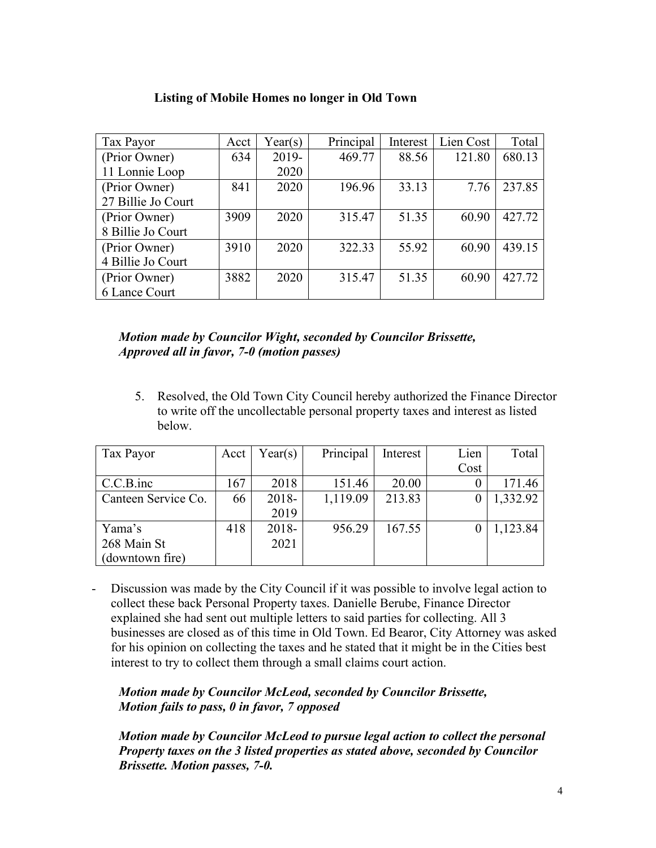| Tax Payor          | Acct | Year(s) | Principal | Interest | Lien Cost | Total  |
|--------------------|------|---------|-----------|----------|-----------|--------|
| (Prior Owner)      | 634  | 2019-   | 469.77    | 88.56    | 121.80    | 680.13 |
| 11 Lonnie Loop     |      | 2020    |           |          |           |        |
| (Prior Owner)      | 841  | 2020    | 196.96    | 33.13    | 7.76      | 237.85 |
| 27 Billie Jo Court |      |         |           |          |           |        |
| (Prior Owner)      | 3909 | 2020    | 315.47    | 51.35    | 60.90     | 427.72 |
| 8 Billie Jo Court  |      |         |           |          |           |        |
| (Prior Owner)      | 3910 | 2020    | 322.33    | 55.92    | 60.90     | 439.15 |
| 4 Billie Jo Court  |      |         |           |          |           |        |
| (Prior Owner)      | 3882 | 2020    | 315.47    | 51.35    | 60.90     | 427.72 |
| 6 Lance Court      |      |         |           |          |           |        |

## **Listing of Mobile Homes no longer in Old Town**

 *Motion made by Councilor Wight, seconded by Councilor Brissette, Approved all in favor, 7-0 (motion passes)*

5. Resolved, the Old Town City Council hereby authorized the Finance Director to write off the uncollectable personal property taxes and interest as listed below.

| Tax Payor           | Acct | Year(s)  | Principal | Interest | Lien | Total    |
|---------------------|------|----------|-----------|----------|------|----------|
|                     |      |          |           |          | Cost |          |
| $C.C.B.$ inc        | 167  | 2018     | 151.46    | 20.00    |      | 171.46   |
| Canteen Service Co. | 66   | 2018-    | 1,119.09  | 213.83   |      | 1,332.92 |
|                     |      | 2019     |           |          |      |          |
| Yama's              | 418  | $2018 -$ | 956.29    | 167.55   |      | 1,123.84 |
| 268 Main St         |      | 2021     |           |          |      |          |
| (downtown fire)     |      |          |           |          |      |          |

- Discussion was made by the City Council if it was possible to involve legal action to collect these back Personal Property taxes. Danielle Berube, Finance Director explained she had sent out multiple letters to said parties for collecting. All 3 businesses are closed as of this time in Old Town. Ed Bearor, City Attorney was asked for his opinion on collecting the taxes and he stated that it might be in the Cities best interest to try to collect them through a small claims court action.

## *Motion made by Councilor McLeod, seconded by Councilor Brissette, Motion fails to pass, 0 in favor, 7 opposed*

 *Motion made by Councilor McLeod to pursue legal action to collect the personal Property taxes on the 3 listed properties as stated above, seconded by Councilor Brissette. Motion passes, 7-0.*